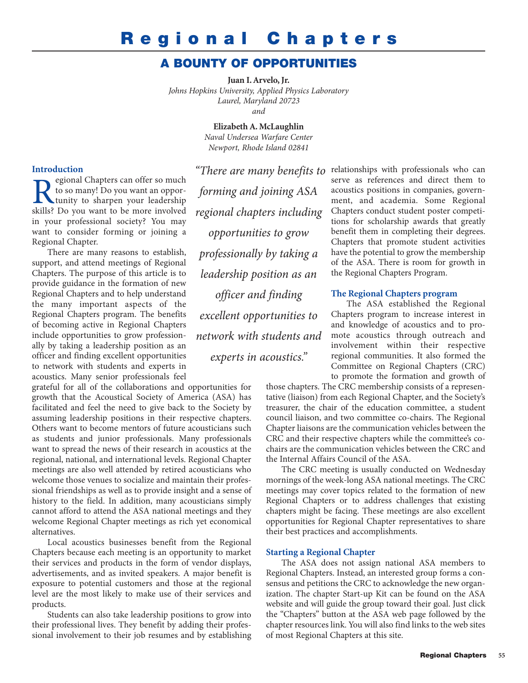# **Regional Chapters**

# **A BOUNTY OF OPPORTUNITIES**

**Juan I. Arvelo, Jr.** *Johns Hopkins University, Applied Physics Laboratory Laurel, Maryland 20723 and*

> **Elizabeth A. McLaughlin** *Naval Undersea Warfare Center Newport, Rhode Island 02841*

### **Introduction**

**Regional Chapters can offer so much**<br>to so many! Do you want an oppor-<br>skills? Do you want to be more involved to so many! Do you want an opportunity to sharpen your leadership skills? Do you want to be more involved in your professional society? You may want to consider forming or joining a Regional Chapter.

There are many reasons to establish, support, and attend meetings of Regional Chapters. The purpose of this article is to provide guidance in the formation of new Regional Chapters and to help understand the many important aspects of the Regional Chapters program. The benefits of becoming active in Regional Chapters include opportunities to grow professionally by taking a leadership position as an officer and finding excellent opportunities to network with students and experts in acoustics. Many senior professionals feel

grateful for all of the collaborations and opportunities for growth that the Acoustical Society of America (ASA) has facilitated and feel the need to give back to the Society by assuming leadership positions in their respective chapters. Others want to become mentors of future acousticians such as students and junior professionals. Many professionals want to spread the news of their research in acoustics at the regional, national, and international levels. Regional Chapter meetings are also well attended by retired acousticians who welcome those venues to socialize and maintain their professional friendships as well as to provide insight and a sense of history to the field. In addition, many acousticians simply cannot afford to attend the ASA national meetings and they welcome Regional Chapter meetings as rich yet economical alternatives.

Local acoustics businesses benefit from the Regional Chapters because each meeting is an opportunity to market their services and products in the form of vendor displays, advertisements, and as invited speakers. A major benefit is exposure to potential customers and those at the regional level are the most likely to make use of their services and products.

Students can also take leadership positions to grow into their professional lives. They benefit by adding their professional involvement to their job resumes and by establishing

*forming and joining ASA regional chapters including opportunities to grow professionally by taking a leadership position as an officer and finding excellent opportunities to network with students and experts in acoustics."*

"There are many benefits to relationships with professionals who can serve as references and direct them to acoustics positions in companies, government, and academia. Some Regional Chapters conduct student poster competitions for scholarship awards that greatly benefit them in completing their degrees. Chapters that promote student activities have the potential to grow the membership of the ASA. There is room for growth in the Regional Chapters Program.

# **The Regional Chapters program**

The ASA established the Regional Chapters program to increase interest in and knowledge of acoustics and to promote acoustics through outreach and involvement within their respective regional communities. It also formed the Committee on Regional Chapters (CRC) to promote the formation and growth of

those chapters. The CRC membership consists of a representative (liaison) from each Regional Chapter, and the Society's treasurer, the chair of the education committee, a student council liaison, and two committee co-chairs. The Regional Chapter liaisons are the communication vehicles between the CRC and their respective chapters while the committee's cochairs are the communication vehicles between the CRC and the Internal Affairs Council of the ASA.

The CRC meeting is usually conducted on Wednesday mornings of the week-long ASA national meetings. The CRC meetings may cover topics related to the formation of new Regional Chapters or to address challenges that existing chapters might be facing. These meetings are also excellent opportunities for Regional Chapter representatives to share their best practices and accomplishments.

#### **Starting a Regional Chapter**

The ASA does not assign national ASA members to Regional Chapters. Instead, an interested group forms a consensus and petitions the CRC to acknowledge the new organization. The chapter Start-up Kit can be found on the ASA website and will guide the group toward their goal. Just click the "Chapters" button at the ASA web page followed by the chapter resources link. You will also find links to the web sites of most Regional Chapters at this site.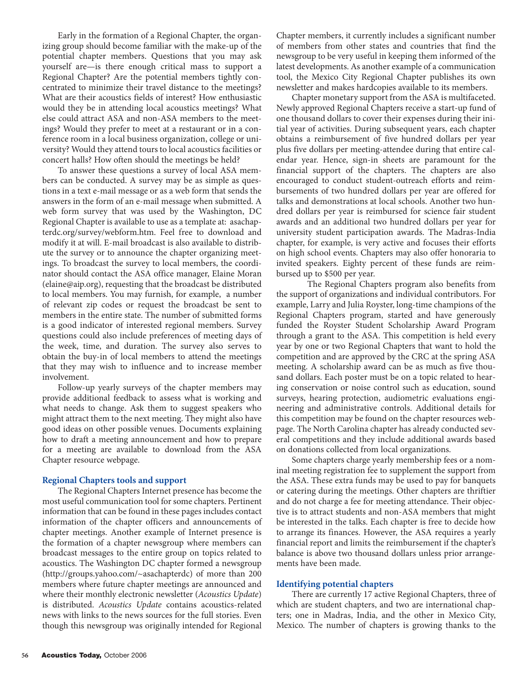Early in the formation of a Regional Chapter, the organizing group should become familiar with the make-up of the potential chapter members. Questions that you may ask yourself are—is there enough critical mass to support a Regional Chapter? Are the potential members tightly concentrated to minimize their travel distance to the meetings? What are their acoustics fields of interest? How enthusiastic would they be in attending local acoustics meetings? What else could attract ASA and non-ASA members to the meetings? Would they prefer to meet at a restaurant or in a conference room in a local business organization, college or university? Would they attend tours to local acoustics facilities or concert halls? How often should the meetings be held?

To answer these questions a survey of local ASA members can be conducted. A survey may be as simple as questions in a text e-mail message or as a web form that sends the answers in the form of an e-mail message when submitted. A web form survey that was used by the Washington, DC Regional Chapter is available to use as a template at: asachapterdc.org/survey/webform.htm. Feel free to download and modify it at will. E-mail broadcast is also available to distribute the survey or to announce the chapter organizing meetings. To broadcast the survey to local members, the coordinator should contact the ASA office manager, Elaine Moran ([elaine@aip.org\), re](mailto:elaine@aip.org)questing that the broadcast be distributed to local members. You may furnish, for example, a number of relevant zip codes or request the broadcast be sent to members in the entire state. The number of submitted forms is a good indicator of interested regional members. Survey questions could also include preferences of meeting days of the week, time, and duration. The survey also serves to obtain the buy-in of local members to attend the meetings that they may wish to influence and to increase member involvement.

Follow-up yearly surveys of the chapter members may provide additional feedback to assess what is working and what needs to change. Ask them to suggest speakers who might attract them to the next meeting. They might also have good ideas on other possible venues. Documents explaining how to draft a meeting announcement and how to prepare for a meeting are available to download from the ASA Chapter resource webpage.

#### **Regional Chapters tools and support**

The Regional Chapters Internet presence has become the most useful communication tool for some chapters. Pertinent information that can be found in these pages includes contact information of the chapter officers and announcements of chapter meetings. Another example of Internet presence is the formation of a chapter newsgroup where members can broadcast messages to the entire group on topics related to acoustics. The Washington DC chapter formed a newsgroup ([http://groups.yahoo.com/~asachapterdc\) of](http://groups.yahoo.com/~asachapterdc) more than 200 members where future chapter meetings are announced and where their monthly electronic newsletter (*Acoustics Update*) is distributed. *Acoustics Update* contains acoustics-related news with links to the news sources for the full stories. Even though this newsgroup was originally intended for Regional

Chapter members, it currently includes a significant number of members from other states and countries that find the newsgroup to be very useful in keeping them informed of the latest developments. As another example of a communication tool, the Mexico City Regional Chapter publishes its own newsletter and makes hardcopies available to its members.

Chapter monetary support from the ASA is multifaceted. Newly approved Regional Chapters receive a start-up fund of one thousand dollars to cover their expenses during their initial year of activities. During subsequent years, each chapter obtains a reimbursement of five hundred dollars per year plus five dollars per meeting-attendee during that entire calendar year. Hence, sign-in sheets are paramount for the financial support of the chapters. The chapters are also encouraged to conduct student-outreach efforts and reimbursements of two hundred dollars per year are offered for talks and demonstrations at local schools. Another two hundred dollars per year is reimbursed for science fair student awards and an additional two hundred dollars per year for university student participation awards. The Madras-India chapter, for example, is very active and focuses their efforts on high school events. Chapters may also offer honoraria to invited speakers. Eighty percent of these funds are reimbursed up to \$500 per year.

The Regional Chapters program also benefits from the support of organizations and individual contributors. For example, Larry and Julia Royster, long-time champions of the Regional Chapters program, started and have generously funded the Royster Student Scholarship Award Program through a grant to the ASA. This competition is held every year by one or two Regional Chapters that want to hold the competition and are approved by the CRC at the spring ASA meeting. A scholarship award can be as much as five thousand dollars. Each poster must be on a topic related to hearing conservation or noise control such as education, sound surveys, hearing protection, audiometric evaluations engineering and administrative controls. Additional details for this competition may be found on the chapter resources webpage. The North Carolina chapter has already conducted several competitions and they include additional awards based on donations collected from local organizations.

Some chapters charge yearly membership fees or a nominal meeting registration fee to supplement the support from the ASA. These extra funds may be used to pay for banquets or catering during the meetings. Other chapters are thriftier and do not charge a fee for meeting attendance. Their objective is to attract students and non-ASA members that might be interested in the talks. Each chapter is free to decide how to arrange its finances. However, the ASA requires a yearly financial report and limits the reimbursement if the chapter's balance is above two thousand dollars unless prior arrangements have been made.

#### **Identifying potential chapters**

There are currently 17 active Regional Chapters, three of which are student chapters, and two are international chapters; one in Madras, India, and the other in Mexico City, Mexico. The number of chapters is growing thanks to the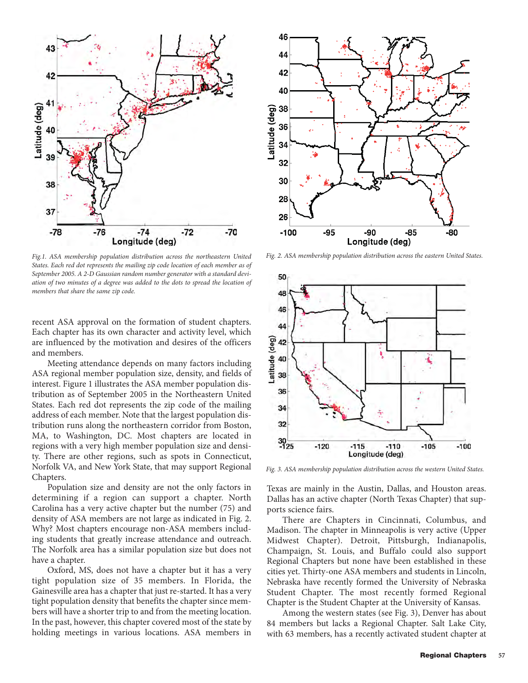

*Fig.1. ASA membership population distribution across the northeastern United States. Each red dot represents the mailing zip code location of each member as of September 2005. A 2-D Gaussian random number generator with a standard deviation of two minutes of a degree was added to the dots to spread the location of members that share the same zip code.*

recent ASA approval on the formation of student chapters. Each chapter has its own character and activity level, which are influenced by the motivation and desires of the officers and members.

Meeting attendance depends on many factors including ASA regional member population size, density, and fields of interest. Figure 1 illustrates the ASA member population distribution as of September 2005 in the Northeastern United States. Each red dot represents the zip code of the mailing address of each member. Note that the largest population distribution runs along the northeastern corridor from Boston, MA, to Washington, DC. Most chapters are located in regions with a very high member population size and density. There are other regions, such as spots in Connecticut, Norfolk VA, and New York State, that may support Regional Chapters.

Population size and density are not the only factors in determining if a region can support a chapter. North Carolina has a very active chapter but the number (75) and density of ASA members are not large as indicated in Fig. 2. Why? Most chapters encourage non-ASA members including students that greatly increase attendance and outreach. The Norfolk area has a similar population size but does not have a chapter.

Oxford, MS, does not have a chapter but it has a very tight population size of 35 members. In Florida, the Gainesville area has a chapter that just re-started. It has a very tight population density that benefits the chapter since members will have a shorter trip to and from the meeting location. In the past, however, this chapter covered most of the state by holding meetings in various locations. ASA members in



*Fig. 2. ASA membership population distribution across the eastern United States.*



*Fig. 3. ASA membership population distribution across the western United States.*

Texas are mainly in the Austin, Dallas, and Houston areas. Dallas has an active chapter (North Texas Chapter) that supports science fairs.

There are Chapters in Cincinnati, Columbus, and Madison. The chapter in Minneapolis is very active (Upper Midwest Chapter). Detroit, Pittsburgh, Indianapolis, Champaign, St. Louis, and Buffalo could also support Regional Chapters but none have been established in these cities yet. Thirty-one ASA members and students in Lincoln, Nebraska have recently formed the University of Nebraska Student Chapter. The most recently formed Regional Chapter is the Student Chapter at the University of Kansas.

Among the western states (see Fig. 3), Denver has about 84 members but lacks a Regional Chapter. Salt Lake City, with 63 members, has a recently activated student chapter at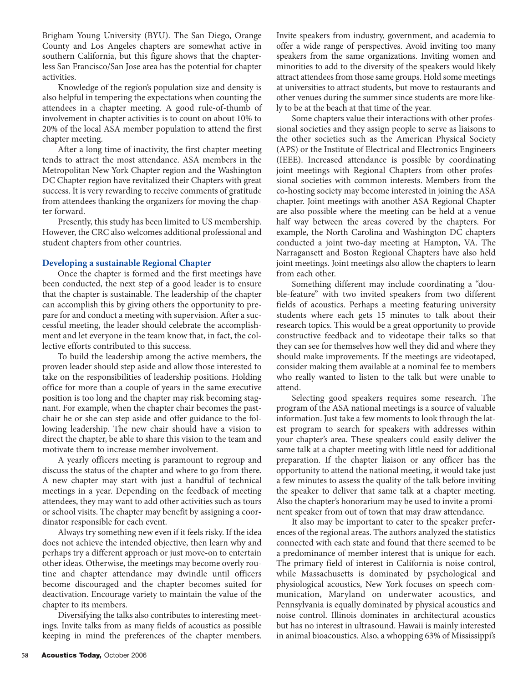Brigham Young University (BYU). The San Diego, Orange County and Los Angeles chapters are somewhat active in southern California, but this figure shows that the chapterless San Francisco/San Jose area has the potential for chapter activities.

Knowledge of the region's population size and density is also helpful in tempering the expectations when counting the attendees in a chapter meeting. A good rule-of-thumb of involvement in chapter activities is to count on about 10% to 20% of the local ASA member population to attend the first chapter meeting.

After a long time of inactivity, the first chapter meeting tends to attract the most attendance. ASA members in the Metropolitan New York Chapter region and the Washington DC Chapter region have revitalized their Chapters with great success. It is very rewarding to receive comments of gratitude from attendees thanking the organizers for moving the chapter forward.

Presently, this study has been limited to US membership. However, the CRC also welcomes additional professional and student chapters from other countries.

# **Developing a sustainable Regional Chapter**

Once the chapter is formed and the first meetings have been conducted, the next step of a good leader is to ensure that the chapter is sustainable. The leadership of the chapter can accomplish this by giving others the opportunity to prepare for and conduct a meeting with supervision. After a successful meeting, the leader should celebrate the accomplishment and let everyone in the team know that, in fact, the collective efforts contributed to this success.

To build the leadership among the active members, the proven leader should step aside and allow those interested to take on the responsibilities of leadership positions. Holding office for more than a couple of years in the same executive position is too long and the chapter may risk becoming stagnant. For example, when the chapter chair becomes the pastchair he or she can step aside and offer guidance to the following leadership. The new chair should have a vision to direct the chapter, be able to share this vision to the team and motivate them to increase member involvement.

A yearly officers meeting is paramount to regroup and discuss the status of the chapter and where to go from there. A new chapter may start with just a handful of technical meetings in a year. Depending on the feedback of meeting attendees, they may want to add other activities such as tours or school visits. The chapter may benefit by assigning a coordinator responsible for each event.

Always try something new even if it feels risky. If the idea does not achieve the intended objective, then learn why and perhaps try a different approach or just move-on to entertain other ideas. Otherwise, the meetings may become overly routine and chapter attendance may dwindle until officers become discouraged and the chapter becomes suited for deactivation. Encourage variety to maintain the value of the chapter to its members.

Diversifying the talks also contributes to interesting meetings. Invite talks from as many fields of acoustics as possible keeping in mind the preferences of the chapter members. Invite speakers from industry, government, and academia to offer a wide range of perspectives. Avoid inviting too many speakers from the same organizations. Inviting women and minorities to add to the diversity of the speakers would likely attract attendees from those same groups. Hold some meetings at universities to attract students, but move to restaurants and other venues during the summer since students are more likely to be at the beach at that time of the year.

Some chapters value their interactions with other professional societies and they assign people to serve as liaisons to the other societies such as the American Physical Society (APS) or the Institute of Electrical and Electronics Engineers (IEEE). Increased attendance is possible by coordinating joint meetings with Regional Chapters from other professional societies with common interests. Members from the co-hosting society may become interested in joining the ASA chapter. Joint meetings with another ASA Regional Chapter are also possible where the meeting can be held at a venue half way between the areas covered by the chapters. For example, the North Carolina and Washington DC chapters conducted a joint two-day meeting at Hampton, VA. The Narragansett and Boston Regional Chapters have also held joint meetings. Joint meetings also allow the chapters to learn from each other.

Something different may include coordinating a "double-feature" with two invited speakers from two different fields of acoustics. Perhaps a meeting featuring university students where each gets 15 minutes to talk about their research topics. This would be a great opportunity to provide constructive feedback and to videotape their talks so that they can see for themselves how well they did and where they should make improvements. If the meetings are videotaped, consider making them available at a nominal fee to members who really wanted to listen to the talk but were unable to attend.

Selecting good speakers requires some research. The program of the ASA national meetings is a source of valuable information. Just take a few moments to look through the latest program to search for speakers with addresses within your chapter's area. These speakers could easily deliver the same talk at a chapter meeting with little need for additional preparation. If the chapter liaison or any officer has the opportunity to attend the national meeting, it would take just a few minutes to assess the quality of the talk before inviting the speaker to deliver that same talk at a chapter meeting. Also the chapter's honorarium may be used to invite a prominent speaker from out of town that may draw attendance.

It also may be important to cater to the speaker preferences of the regional areas. The authors analyzed the statistics connected with each state and found that there seemed to be a predominance of member interest that is unique for each. The primary field of interest in California is noise control, while Massachusetts is dominated by psychological and physiological acoustics, New York focuses on speech communication, Maryland on underwater acoustics, and Pennsylvania is equally dominated by physical acoustics and noise control. Illinois dominates in architectural acoustics but has no interest in ultrasound. Hawaii is mainly interested in animal bioacoustics. Also, a whopping 63% of Mississippi's